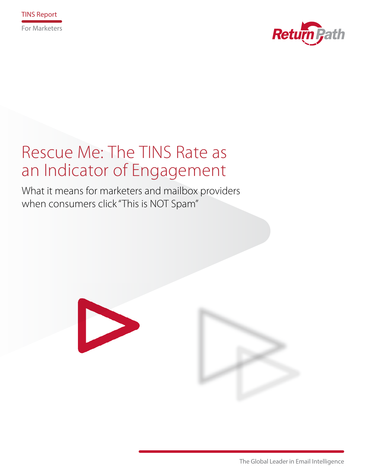



# Rescue Me: The TINS Rate as an Indicator of Engagement

What it means for marketers and mailbox providers when consumers click "This is NOT Spam"



The Global Leader in Email Intelligence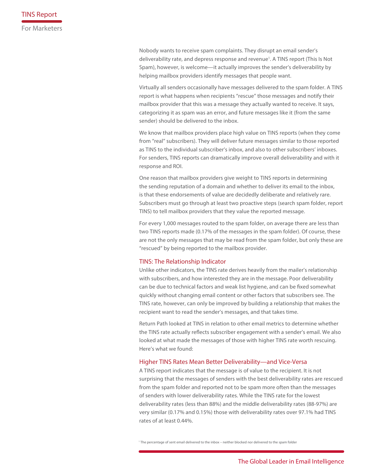Nobody wants to receive spam complaints. They disrupt an email sender's deliverability rate, and depress response and revenue<sup>1</sup>. A TINS report (This Is Not Spam), however, is welcome—it actually improves the sender's deliverability by helping mailbox providers identify messages that people want.

Virtually all senders occasionally have messages delivered to the spam folder. A TINS report is what happens when recipients "rescue" those messages and notify their mailbox provider that this was a message they actually wanted to receive. It says, categorizing it as spam was an error, and future messages like it (from the same sender) should be delivered to the inbox.

We know that mailbox providers place high value on TINS reports (when they come from "real" subscribers). They will deliver future messages similar to those reported as TINS to the individual subscriber's inbox, and also to other subscribers' inboxes. For senders, TINS reports can dramatically improve overall deliverability and with it response and ROI.

One reason that mailbox providers give weight to TINS reports in determining the sending reputation of a domain and whether to deliver its email to the inbox, is that these endorsements of value are decidedly deliberate and relatively rare. Subscribers must go through at least two proactive steps (search spam folder, report TINS) to tell mailbox providers that they value the reported message.

For every 1,000 messages routed to the spam folder, on average there are less than two TINS reports made (0.17% of the messages in the spam folder). Of course, these are not the only messages that may be read from the spam folder, but only these are "rescued" by being reported to the mailbox provider.

#### TINS: The Relationship Indicator

Unlike other indicators, the TINS rate derives heavily from the mailer's relationship with subscribers, and how interested they are in the message. Poor deliverability can be due to technical factors and weak list hygiene, and can be fixed somewhat quickly without changing email content or other factors that subscribers see. The TINS rate, however, can only be improved by building a relationship that makes the recipient want to read the sender's messages, and that takes time.

Return Path looked at TINS in relation to other email metrics to determine whether the TINS rate actually reflects subscriber engagement with a sender's email. We also looked at what made the messages of those with higher TINS rate worth rescuing. Here's what we found:

## Higher TINS Rates Mean Better Deliverability—and Vice-Versa

A TINS report indicates that the message is of value to the recipient. It is not surprising that the messages of senders with the best deliverability rates are rescued from the spam folder and reported not to be spam more often than the messages of senders with lower deliverability rates. While the TINS rate for the lowest deliverability rates (less than 88%) and the middle deliverability rates (88-97%) are very similar (0.17% and 0.15%) those with deliverability rates over 97.1% had TINS rates of at least 0.44%.

1 The percentage of sent email delivered to the inbox – neither blocked nor delivered to the spam folder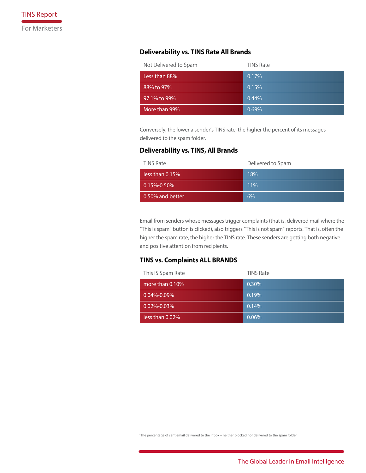# **Deliverability vs. TINS Rate All Brands**

| Not Delivered to Spam | <b>TINS Rate</b> |
|-----------------------|------------------|
| Less than 88%         | 0.17%            |
| 88% to 97%            | 0.15%            |
| 97.1% to 99%          | 0.44%            |
| More than 99%         | 0.69%            |

Conversely, the lower a sender's TINS rate, the higher the percent of its messages delivered to the spam folder.

## **Deliverability vs. TINS, All Brands**

| <b>TINS Rate</b>  | Delivered to Spam |
|-------------------|-------------------|
| less than 0.15%   | 18%               |
| $0.15\% - 0.50\%$ | 11%               |
| 0.50% and better  | 6%                |

Email from senders whose messages trigger complaints (that is, delivered mail where the "This is spam" button is clicked), also triggers "This is not spam" reports. That is, often the higher the spam rate, the higher the TINS rate. These senders are getting both negative and positive attention from recipients.

# **TINS vs. Complaints ALL BRANDS**

| This IS Spam Rate   | <b>TINS Rate</b> |
|---------------------|------------------|
| more than $0.10\%$  | 0.30%            |
| $0.04\%$ -0.09 $\%$ | 0.19%            |
| $0.02\% - 0.03\%$   | 0.14%            |
| less than $0.02\%$  | 0.06%            |

1 The percentage of sent email delivered to the inbox – neither blocked nor delivered to the spam folder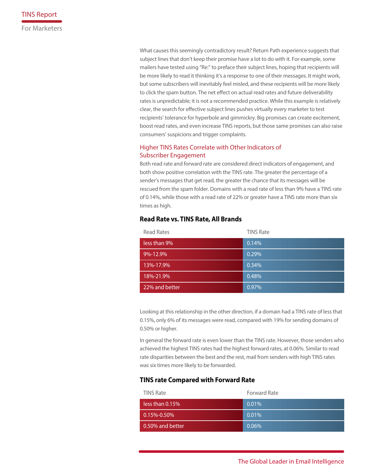What causes this seemingly contradictory result? Return Path experience suggests that subject lines that don't keep their promise have a lot to do with it. For example, some mailers have tested using "Re:" to preface their subject lines, hoping that recipients will be more likely to read it thinking it's a response to one of their messages. It might work, but some subscribers will inevitably feel misled, and these recipients will be more likely to click the spam button. The net effect on actual read rates and future deliverability rates is unpredictable; it is not a recommended practice. While this example is relatively clear, the search for effective subject lines pushes virtually every marketer to test recipients' tolerance for hyperbole and gimmickry. Big promises can create excitement, boost read rates, and even increase TINS reports, but those same promises can also raise consumers' suspicions and trigger complaints.

# Higher TINS Rates Correlate with Other Indicators of Subscriber Engagement

Both read rate and forward rate are considered direct indicators of engagement, and both show positive correlation with the TINS rate. The greater the percentage of a sender's messages that get read, the greater the chance that its messages will be rescued from the spam folder. Domains with a read rate of less than 9% have a TINS rate of 0.14%, while those with a read rate of 22% or greater have a TINS rate more than six times as high.

## **Read Rate vs. TINS Rate, All Brands**

| <b>Read Rates</b> | <b>TINS Rate</b> |
|-------------------|------------------|
| less than 9%      | 0.14%            |
| 9%-12.9%          | 0.29%            |
| 13%-17.9%         | 0.34%            |
| 18%-21.9%         | 0.48%            |
| 22% and better    | 0.97%            |

Looking at this relationship in the other direction, if a domain had a TINS rate of less that 0.15%, only 6% of its messages were read, compared with 19% for sending domains of 0.50% or higher.

In general the forward rate is even lower than the TINS rate. However, those senders who achieved the highest TINS rates had the highest forward rates, at 0.06%. Similar to read rate disparities between the best and the rest, mail from senders with high TINS rates was six times more likely to be forwarded.

# **TINS rate Compared with Forward Rate**

| <b>TINS Rate</b>   | Forward Rate |
|--------------------|--------------|
| less than $0.15\%$ | $0.01\%$     |
| $0.15\% - 0.50\%$  | $0.01\%$     |
| 0.50% and better   | $0.06\%$     |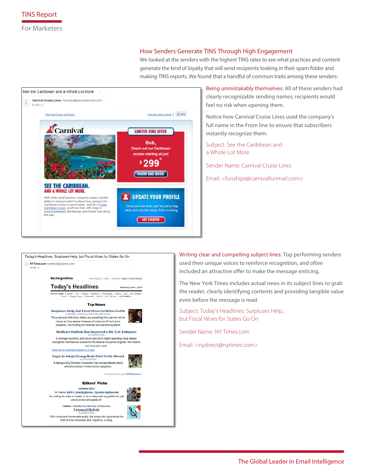## How Senders Generate TINS Through High Engagement

We looked at the senders with the highest TINS rates to see what practices and content generate the kind of loyalty that will send recipients looking in their spam folder and making TINS reports. We found that a handful of common traits among these senders:



Being unmistakably themselves: All of these senders had clearly recognizable sending names; recipients would feel no risk when opening them.

Notice how Carnival Cruise Lines used the company's full name in the From line to ensure that subscribers instantly recognize them.

Subject: See the Caribbean and a Whole Lot More

Sender Name: Carnival Cruise Lines

Email: <funships@carnivalfunmail.com>



Writing clear and compelling subject lines: Top performing senders used their unique voices to reinforce recognition, and often included an attractive offer to make the message enticing.

The New York Times includes actual news in its subject lines to grab the reader, clearly identifying contents and providing tangible value even before the message is read.

Subject: Today's Headlines: Surpluses Help, but Fiscal Woes for States Go On

Sender Name: NY Times.com

Email: <nydirect@nytimes.com>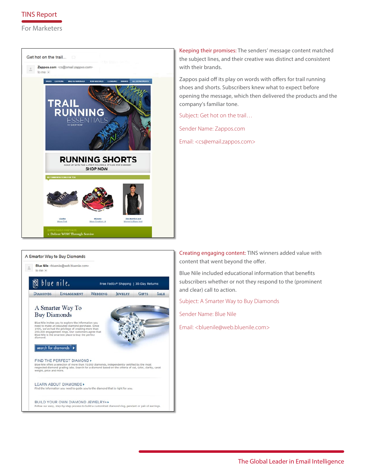# TINS Report

For Marketers



Keeping their promises: The senders' message content matched the subject lines, and their creative was distinct and consistent with their brands.

Zappos paid off its play on words with offers for trail running shoes and shorts. Subscribers knew what to expect before opening the message, which then delivered the products and the company's familiar tone.

Subject: Get hot on the trail…

Sender Name: Zappos.com

Email: <cs@email.zappos.com>



Creating engaging content: TINS winners added value with content that went beyond the offer.

Blue Nile included educational information that benefits subscribers whether or not they respond to the (prominent and clear) call to action.

Subject: A Smarter Way to Buy Diamonds

Sender Name: Blue Nile

Email: <bluenile@web.bluenile.com>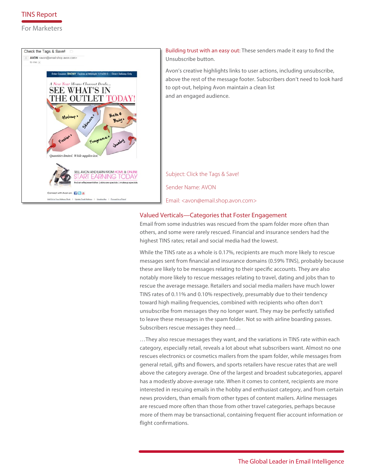

## For Marketers



Building trust with an easy out: These senders made it easy to find the Unsubscribe button.

Avon's creative highlights links to user actions, including unsubscribe, above the rest of the message footer. Subscribers don't need to look hard to opt-out, helping Avon maintain a clean list and an engaged audience.

Subject: Click the Tags & Save! Sender Name: AVON Email: <avon@email.shop.avon.com>

# Valued Verticals—Categories that Foster Engagement

Email from some industries was rescued from the spam folder more often than others, and some were rarely rescued. Financial and insurance senders had the highest TINS rates; retail and social media had the lowest.

While the TINS rate as a whole is 0.17%, recipients are much more likely to rescue messages sent from financial and insurance domains (0.59% TINS), probably because these are likely to be messages relating to their specific accounts. They are also notably more likely to rescue messages relating to travel, dating and jobs than to rescue the average message. Retailers and social media mailers have much lower TINS rates of 0.11% and 0.10% respectively, presumably due to their tendency toward high mailing frequencies, combined with recipients who often don't unsubscribe from messages they no longer want. They may be perfectly satisfied to leave these messages in the spam folder. Not so with airline boarding passes. Subscribers rescue messages they need…

…They also rescue messages they want, and the variations in TINS rate within each category, especially retail, reveals a lot about what subscribers want. Almost no one rescues electronics or cosmetics mailers from the spam folder, while messages from general retail, gifts and flowers, and sports retailers have rescue rates that are well above the category average. One of the largest and broadest subcategories, apparel has a modestly above-average rate. When it comes to content, recipients are more interested in rescuing emails in the hobby and enthusiast category, and from certain news providers, than emails from other types of content mailers. Airline messages are rescued more often than those from other travel categories, perhaps because more of them may be transactional, containing frequent flier account information or flight confirmations.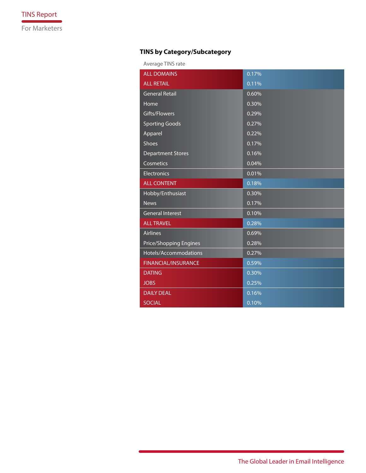# **TINS by Category/Subcategory**

Average TINS rate

| <b>ALL DOMAINS</b>            | 0.17% |
|-------------------------------|-------|
| <b>ALL RETAIL</b>             | 0.11% |
| General Retail                | 0.60% |
| Home                          | 0.30% |
| Gifts/Flowers                 | 0.29% |
| <b>Sporting Goods</b>         | 0.27% |
| Apparel                       | 0.22% |
| Shoes                         | 0.17% |
| <b>Department Stores</b>      | 0.16% |
| Cosmetics                     | 0.04% |
| <b>Electronics</b>            | 0.01% |
| <b>ALL CONTENT</b>            | 0.18% |
| Hobby/Enthusiast              | 0.30% |
| <b>News</b>                   | 0.17% |
| <b>General Interest</b>       | 0.10% |
| <b>ALL TRAVEL</b>             | 0.28% |
| <b>Airlines</b>               | 0.69% |
| <b>Price/Shopping Engines</b> | 0.28% |
| Hotels/Accommodations         | 0.27% |
| <b>FINANCIAL/INSURANCE</b>    | 0.59% |
| <b>DATING</b>                 | 0.30% |
| <b>JOBS</b>                   | 0.25% |
| <b>DAILY DEAL</b>             | 0.16% |
| <b>SOCIAL</b>                 | 0.10% |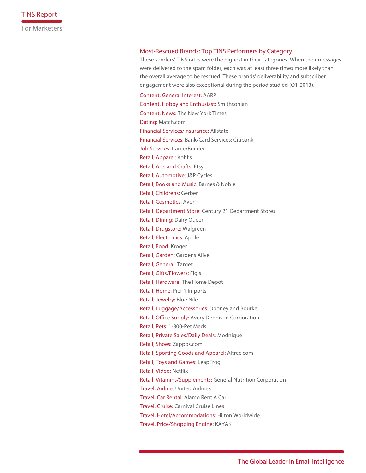## Most-Rescued Brands: Top TINS Performers by Category

These senders' TINS rates were the highest in their categories. When their messages were delivered to the spam folder, each was at least three times more likely than the overall average to be rescued. These brands' deliverability and subscriber engagement were also exceptional during the period studied (Q1-2013).

Content, General Interest: AARP Content, Hobby and Enthusiast: Smithsonian Content, News: The New York Times Dating: Match.com Financial Services/Insurance: Allstate Financial Services: Bank/Card Services: Citibank Job Services: CareerBuilder Retail, Apparel: Kohl's Retail, Arts and Crafts: Etsy Retail, Automotive: J&P Cycles Retail, Books and Music: Barnes & Noble Retail, Childrens: Gerber Retail, Cosmetics: Avon Retail, Department Store: Century 21 Department Stores Retail, Dining: Dairy Queen Retail, Drugstore: Walgreen Retail, Electronics: Apple Retail, Food: Kroger Retail, Garden: Gardens Alive! Retail, General: Target Retail, Gifts/Flowers: Figis Retail, Hardware: The Home Depot Retail, Home: Pier 1 Imports Retail, Jewelry: Blue Nile Retail, Luggage/Accessories: Dooney and Bourke Retail, Office Supply: Avery Dennison Corporation Retail, Pets: 1-800-Pet Meds Retail, Private Sales/Daily Deals: Modnique Retail, Shoes: Zappos.com Retail, Sporting Goods and Apparel: Altrec.com Retail, Toys and Games: LeapFrog Retail, Video: Netflix Retail, Vitamins/Supplements: General Nutrition Corporation Travel, Airline: United Airlines Travel, Car Rental: Alamo Rent A Car Travel, Cruise: Carnival Cruise Lines Travel, Hotel/Accommodations: Hilton Worldwide Travel, Price/Shopping Engine: KAYAK